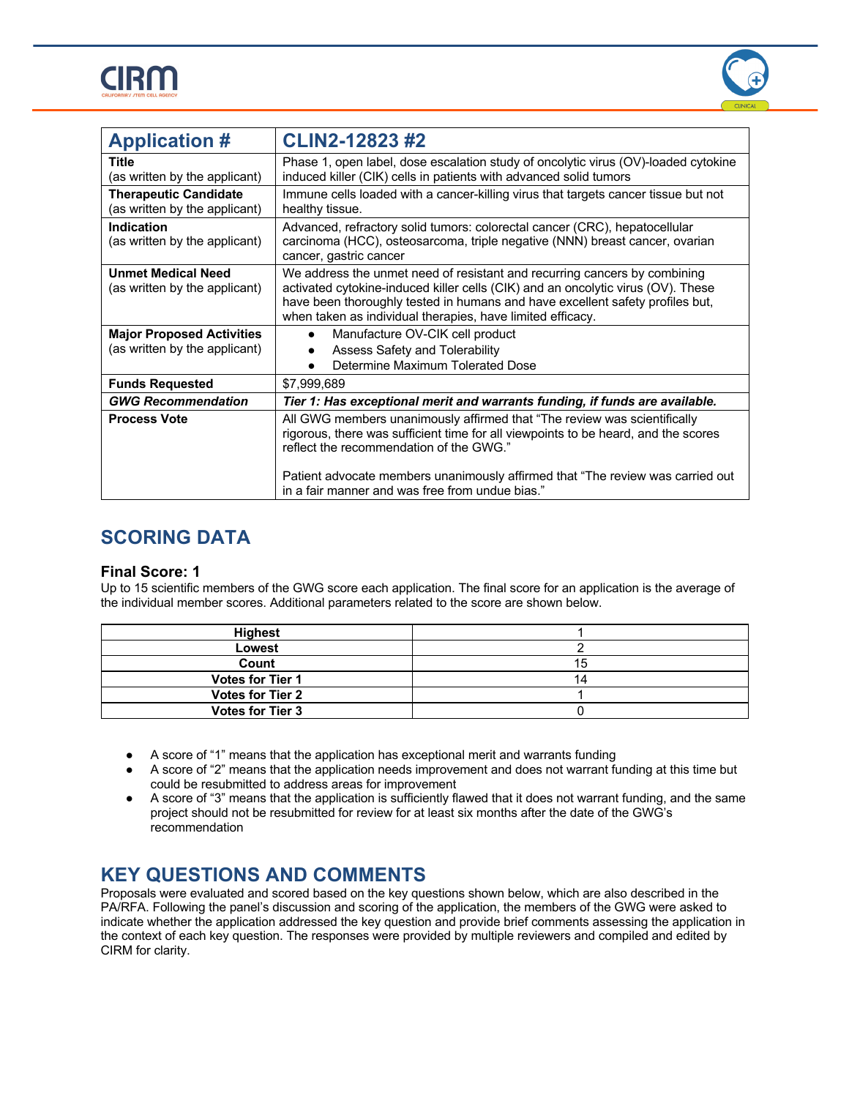



| <b>Application #</b>                                          | <b>CLIN2-12823 #2</b>                                                                                                                                                                                                                                                                                        |
|---------------------------------------------------------------|--------------------------------------------------------------------------------------------------------------------------------------------------------------------------------------------------------------------------------------------------------------------------------------------------------------|
| Title<br>(as written by the applicant)                        | Phase 1, open label, dose escalation study of oncolytic virus (OV)-loaded cytokine<br>induced killer (CIK) cells in patients with advanced solid tumors                                                                                                                                                      |
| <b>Therapeutic Candidate</b><br>(as written by the applicant) | Immune cells loaded with a cancer-killing virus that targets cancer tissue but not<br>healthy tissue.                                                                                                                                                                                                        |
| Indication<br>(as written by the applicant)                   | Advanced, refractory solid tumors: colorectal cancer (CRC), hepatocellular<br>carcinoma (HCC), osteosarcoma, triple negative (NNN) breast cancer, ovarian<br>cancer, gastric cancer                                                                                                                          |
| <b>Unmet Medical Need</b><br>(as written by the applicant)    | We address the unmet need of resistant and recurring cancers by combining<br>activated cytokine-induced killer cells (CIK) and an oncolytic virus (OV). These<br>have been thoroughly tested in humans and have excellent safety profiles but,<br>when taken as individual therapies, have limited efficacy. |
| <b>Major Proposed Activities</b>                              | Manufacture OV-CIK cell product<br>$\bullet$                                                                                                                                                                                                                                                                 |
| (as written by the applicant)                                 | Assess Safety and Tolerability<br>Determine Maximum Tolerated Dose                                                                                                                                                                                                                                           |
| <b>Funds Requested</b>                                        | \$7,999,689                                                                                                                                                                                                                                                                                                  |
| <b>GWG Recommendation</b>                                     | Tier 1: Has exceptional merit and warrants funding, if funds are available.                                                                                                                                                                                                                                  |
| <b>Process Vote</b>                                           | All GWG members unanimously affirmed that "The review was scientifically<br>rigorous, there was sufficient time for all viewpoints to be heard, and the scores<br>reflect the recommendation of the GWG."                                                                                                    |
|                                                               | Patient advocate members unanimously affirmed that "The review was carried out<br>in a fair manner and was free from undue bias."                                                                                                                                                                            |

### **SCORING DATA**

#### **Final Score: 1**

Up to 15 scientific members of the GWG score each application. The final score for an application is the average of the individual member scores. Additional parameters related to the score are shown below.

| Highest                 |  |
|-------------------------|--|
| Lowest                  |  |
| Count                   |  |
| <b>Votes for Tier 1</b> |  |
| <b>Votes for Tier 2</b> |  |
| <b>Votes for Tier 3</b> |  |

- A score of "1" means that the application has exceptional merit and warrants funding
- A score of "2" means that the application needs improvement and does not warrant funding at this time but could be resubmitted to address areas for improvement
- A score of "3" means that the application is sufficiently flawed that it does not warrant funding, and the same project should not be resubmitted for review for at least six months after the date of the GWG's recommendation

### **KEY QUESTIONS AND COMMENTS**

Proposals were evaluated and scored based on the key questions shown below, which are also described in the PA/RFA. Following the panel's discussion and scoring of the application, the members of the GWG were asked to indicate whether the application addressed the key question and provide brief comments assessing the application in the context of each key question. The responses were provided by multiple reviewers and compiled and edited by CIRM for clarity.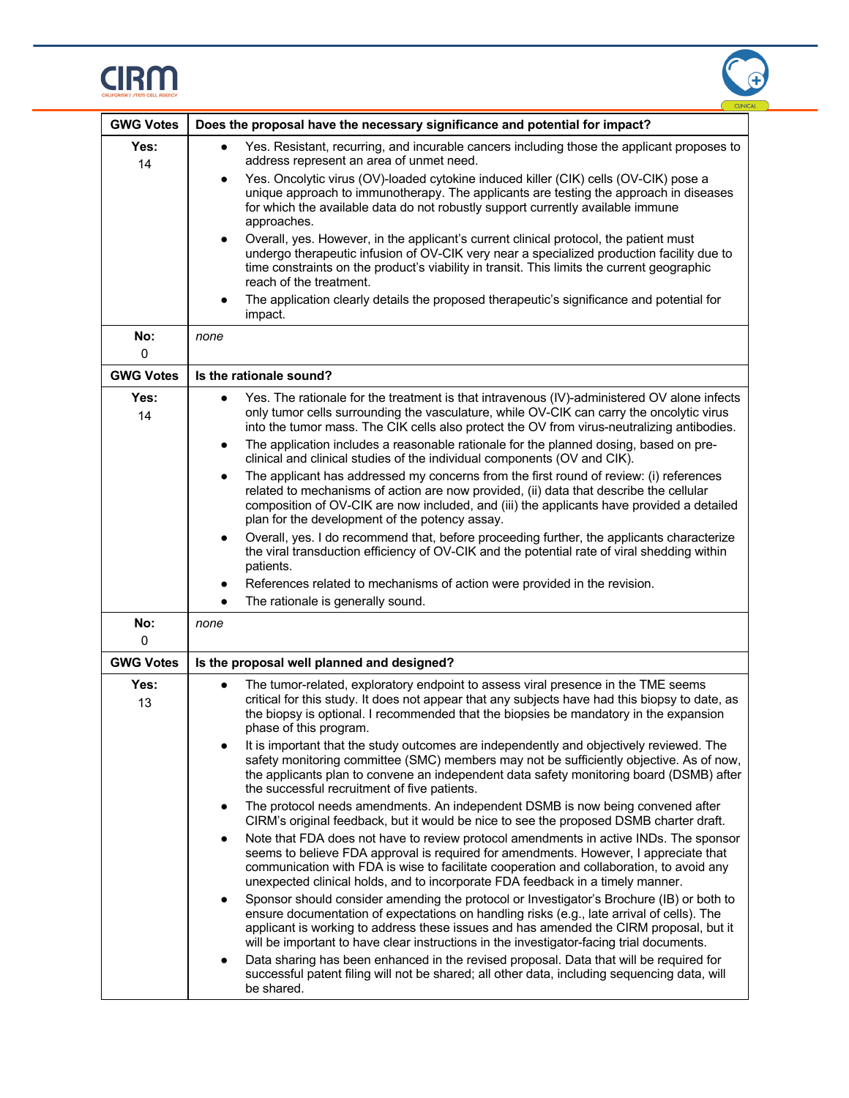



| <b>GWG Votes</b> | Does the proposal have the necessary significance and potential for impact?                                                                                                                                                                                                                                                                                                      |  |
|------------------|----------------------------------------------------------------------------------------------------------------------------------------------------------------------------------------------------------------------------------------------------------------------------------------------------------------------------------------------------------------------------------|--|
| Yes:<br>14       | Yes. Resistant, recurring, and incurable cancers including those the applicant proposes to<br>$\bullet$<br>address represent an area of unmet need.                                                                                                                                                                                                                              |  |
|                  | Yes. Oncolytic virus (OV)-loaded cytokine induced killer (CIK) cells (OV-CIK) pose a<br>$\bullet$<br>unique approach to immunotherapy. The applicants are testing the approach in diseases<br>for which the available data do not robustly support currently available immune<br>approaches.                                                                                     |  |
|                  | Overall, yes. However, in the applicant's current clinical protocol, the patient must<br>$\bullet$<br>undergo therapeutic infusion of OV-CIK very near a specialized production facility due to<br>time constraints on the product's viability in transit. This limits the current geographic<br>reach of the treatment.                                                         |  |
|                  | The application clearly details the proposed therapeutic's significance and potential for<br>impact.                                                                                                                                                                                                                                                                             |  |
| No:<br>$\Omega$  | none                                                                                                                                                                                                                                                                                                                                                                             |  |
| <b>GWG Votes</b> | Is the rationale sound?                                                                                                                                                                                                                                                                                                                                                          |  |
| Yes:<br>14       | Yes. The rationale for the treatment is that intravenous (IV)-administered OV alone infects<br>$\bullet$<br>only tumor cells surrounding the vasculature, while OV-CIK can carry the oncolytic virus<br>into the tumor mass. The CIK cells also protect the OV from virus-neutralizing antibodies.                                                                               |  |
|                  | The application includes a reasonable rationale for the planned dosing, based on pre-<br>$\bullet$<br>clinical and clinical studies of the individual components (OV and CIK).                                                                                                                                                                                                   |  |
|                  | The applicant has addressed my concerns from the first round of review: (i) references<br>$\bullet$<br>related to mechanisms of action are now provided, (ii) data that describe the cellular<br>composition of OV-CIK are now included, and (iii) the applicants have provided a detailed<br>plan for the development of the potency assay.                                     |  |
|                  | Overall, yes. I do recommend that, before proceeding further, the applicants characterize<br>$\bullet$<br>the viral transduction efficiency of OV-CIK and the potential rate of viral shedding within<br>patients.                                                                                                                                                               |  |
|                  | References related to mechanisms of action were provided in the revision.                                                                                                                                                                                                                                                                                                        |  |
|                  | The rationale is generally sound.<br>$\bullet$                                                                                                                                                                                                                                                                                                                                   |  |
| No:<br>0         | none                                                                                                                                                                                                                                                                                                                                                                             |  |
| <b>GWG Votes</b> | Is the proposal well planned and designed?                                                                                                                                                                                                                                                                                                                                       |  |
| Yes:<br>13       | The tumor-related, exploratory endpoint to assess viral presence in the TME seems<br>$\bullet$<br>critical for this study. It does not appear that any subjects have had this biopsy to date, as<br>the biopsy is optional. I recommended that the biopsies be mandatory in the expansion<br>phase of this program.                                                              |  |
|                  | It is important that the study outcomes are independently and objectively reviewed. The<br>safety monitoring committee (SMC) members may not be sufficiently objective. As of now,<br>the applicants plan to convene an independent data safety monitoring board (DSMB) after<br>the successful recruitment of five patients.                                                    |  |
|                  | The protocol needs amendments. An independent DSMB is now being convened after<br>٠<br>CIRM's original feedback, but it would be nice to see the proposed DSMB charter draft.                                                                                                                                                                                                    |  |
|                  | Note that FDA does not have to review protocol amendments in active INDs. The sponsor<br>$\bullet$<br>seems to believe FDA approval is required for amendments. However, I appreciate that<br>communication with FDA is wise to facilitate cooperation and collaboration, to avoid any<br>unexpected clinical holds, and to incorporate FDA feedback in a timely manner.         |  |
|                  | Sponsor should consider amending the protocol or Investigator's Brochure (IB) or both to<br>٠<br>ensure documentation of expectations on handling risks (e.g., late arrival of cells). The<br>applicant is working to address these issues and has amended the CIRM proposal, but it<br>will be important to have clear instructions in the investigator-facing trial documents. |  |
|                  | Data sharing has been enhanced in the revised proposal. Data that will be required for<br>successful patent filing will not be shared; all other data, including sequencing data, will<br>be shared.                                                                                                                                                                             |  |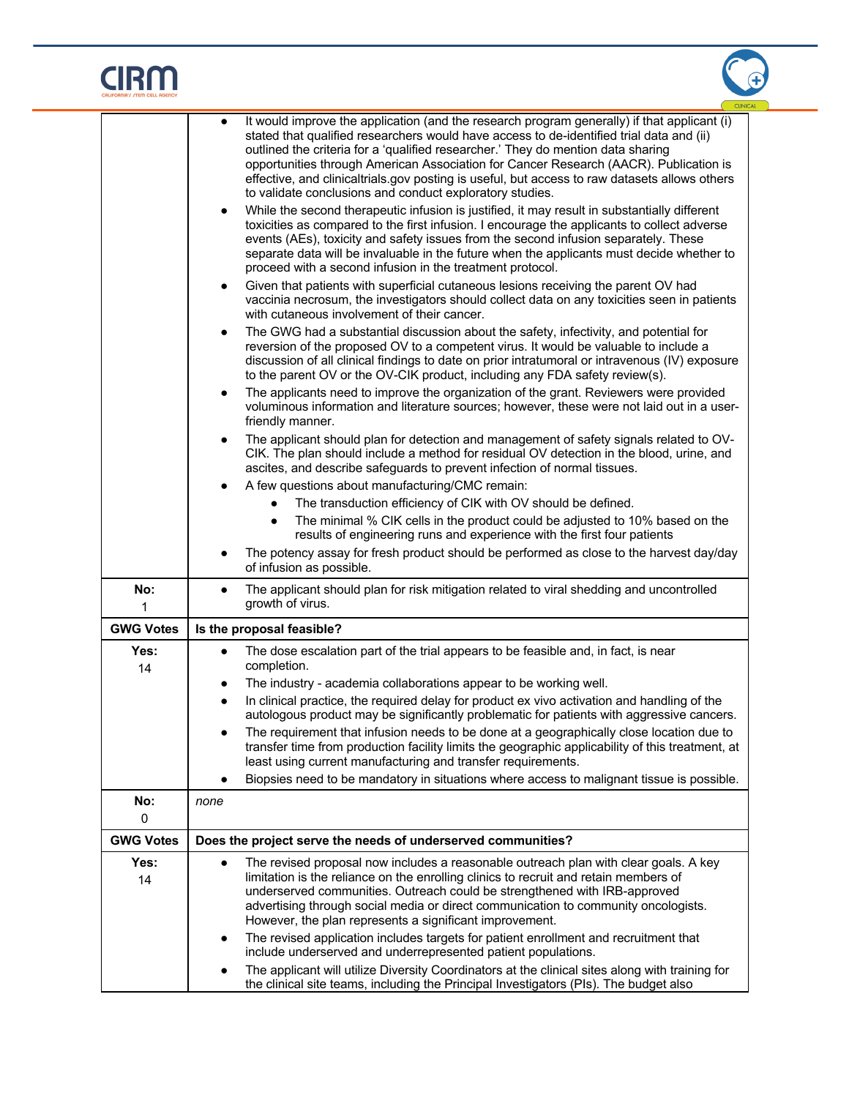# $CIRM$



|                  | It would improve the application (and the research program generally) if that applicant (i)<br>stated that qualified researchers would have access to de-identified trial data and (ii)<br>outlined the criteria for a 'qualified researcher.' They do mention data sharing<br>opportunities through American Association for Cancer Research (AACR). Publication is<br>effective, and clinicaltrials.gov posting is useful, but access to raw datasets allows others<br>to validate conclusions and conduct exploratory studies.<br>While the second therapeutic infusion is justified, it may result in substantially different<br>$\bullet$<br>toxicities as compared to the first infusion. I encourage the applicants to collect adverse<br>events (AEs), toxicity and safety issues from the second infusion separately. These<br>separate data will be invaluable in the future when the applicants must decide whether to<br>proceed with a second infusion in the treatment protocol.<br>Given that patients with superficial cutaneous lesions receiving the parent OV had<br>$\bullet$<br>vaccinia necrosum, the investigators should collect data on any toxicities seen in patients<br>with cutaneous involvement of their cancer.<br>The GWG had a substantial discussion about the safety, infectivity, and potential for<br>$\bullet$<br>reversion of the proposed OV to a competent virus. It would be valuable to include a<br>discussion of all clinical findings to date on prior intratumoral or intravenous (IV) exposure<br>to the parent OV or the OV-CIK product, including any FDA safety review(s).<br>The applicants need to improve the organization of the grant. Reviewers were provided<br>$\bullet$<br>voluminous information and literature sources; however, these were not laid out in a user-<br>friendly manner.<br>The applicant should plan for detection and management of safety signals related to OV-<br>CIK. The plan should include a method for residual OV detection in the blood, urine, and<br>ascites, and describe safeguards to prevent infection of normal tissues.<br>A few questions about manufacturing/CMC remain:<br>The transduction efficiency of CIK with OV should be defined.<br>The minimal % CIK cells in the product could be adjusted to 10% based on the<br>results of engineering runs and experience with the first four patients<br>The potency assay for fresh product should be performed as close to the harvest day/day |  |  |
|------------------|-----------------------------------------------------------------------------------------------------------------------------------------------------------------------------------------------------------------------------------------------------------------------------------------------------------------------------------------------------------------------------------------------------------------------------------------------------------------------------------------------------------------------------------------------------------------------------------------------------------------------------------------------------------------------------------------------------------------------------------------------------------------------------------------------------------------------------------------------------------------------------------------------------------------------------------------------------------------------------------------------------------------------------------------------------------------------------------------------------------------------------------------------------------------------------------------------------------------------------------------------------------------------------------------------------------------------------------------------------------------------------------------------------------------------------------------------------------------------------------------------------------------------------------------------------------------------------------------------------------------------------------------------------------------------------------------------------------------------------------------------------------------------------------------------------------------------------------------------------------------------------------------------------------------------------------------------------------------------------------------------------------------------------------------------------------------------------------------------------------------------------------------------------------------------------------------------------------------------------------------------------------------------------------------------------------------------------------------------------------------------------------------------------------------------------------------------------------------------------------------------------|--|--|
|                  | of infusion as possible.                                                                                                                                                                                                                                                                                                                                                                                                                                                                                                                                                                                                                                                                                                                                                                                                                                                                                                                                                                                                                                                                                                                                                                                                                                                                                                                                                                                                                                                                                                                                                                                                                                                                                                                                                                                                                                                                                                                                                                                                                                                                                                                                                                                                                                                                                                                                                                                                                                                                            |  |  |
| No:<br>1         | The applicant should plan for risk mitigation related to viral shedding and uncontrolled<br>$\bullet$<br>growth of virus.                                                                                                                                                                                                                                                                                                                                                                                                                                                                                                                                                                                                                                                                                                                                                                                                                                                                                                                                                                                                                                                                                                                                                                                                                                                                                                                                                                                                                                                                                                                                                                                                                                                                                                                                                                                                                                                                                                                                                                                                                                                                                                                                                                                                                                                                                                                                                                           |  |  |
| <b>GWG Votes</b> | Is the proposal feasible?                                                                                                                                                                                                                                                                                                                                                                                                                                                                                                                                                                                                                                                                                                                                                                                                                                                                                                                                                                                                                                                                                                                                                                                                                                                                                                                                                                                                                                                                                                                                                                                                                                                                                                                                                                                                                                                                                                                                                                                                                                                                                                                                                                                                                                                                                                                                                                                                                                                                           |  |  |
| Yes:<br>14       | The dose escalation part of the trial appears to be feasible and, in fact, is near<br>$\bullet$<br>completion.<br>The industry - academia collaborations appear to be working well.<br>$\bullet$<br>In clinical practice, the required delay for product ex vivo activation and handling of the<br>$\bullet$<br>autologous product may be significantly problematic for patients with aggressive cancers.<br>The requirement that infusion needs to be done at a geographically close location due to<br>$\bullet$<br>transfer time from production facility limits the geographic applicability of this treatment, at<br>least using current manufacturing and transfer requirements.<br>Biopsies need to be mandatory in situations where access to malignant tissue is possible.                                                                                                                                                                                                                                                                                                                                                                                                                                                                                                                                                                                                                                                                                                                                                                                                                                                                                                                                                                                                                                                                                                                                                                                                                                                                                                                                                                                                                                                                                                                                                                                                                                                                                                                 |  |  |
| No:              | none                                                                                                                                                                                                                                                                                                                                                                                                                                                                                                                                                                                                                                                                                                                                                                                                                                                                                                                                                                                                                                                                                                                                                                                                                                                                                                                                                                                                                                                                                                                                                                                                                                                                                                                                                                                                                                                                                                                                                                                                                                                                                                                                                                                                                                                                                                                                                                                                                                                                                                |  |  |
| 0                |                                                                                                                                                                                                                                                                                                                                                                                                                                                                                                                                                                                                                                                                                                                                                                                                                                                                                                                                                                                                                                                                                                                                                                                                                                                                                                                                                                                                                                                                                                                                                                                                                                                                                                                                                                                                                                                                                                                                                                                                                                                                                                                                                                                                                                                                                                                                                                                                                                                                                                     |  |  |
| <b>GWG Votes</b> | Does the project serve the needs of underserved communities?                                                                                                                                                                                                                                                                                                                                                                                                                                                                                                                                                                                                                                                                                                                                                                                                                                                                                                                                                                                                                                                                                                                                                                                                                                                                                                                                                                                                                                                                                                                                                                                                                                                                                                                                                                                                                                                                                                                                                                                                                                                                                                                                                                                                                                                                                                                                                                                                                                        |  |  |
| Yes:<br>14       | The revised proposal now includes a reasonable outreach plan with clear goals. A key<br>limitation is the reliance on the enrolling clinics to recruit and retain members of<br>underserved communities. Outreach could be strengthened with IRB-approved<br>advertising through social media or direct communication to community oncologists.<br>However, the plan represents a significant improvement.<br>The revised application includes targets for patient enrollment and recruitment that<br>include underserved and underrepresented patient populations.<br>The applicant will utilize Diversity Coordinators at the clinical sites along with training for<br>the clinical site teams, including the Principal Investigators (PIs). The budget also                                                                                                                                                                                                                                                                                                                                                                                                                                                                                                                                                                                                                                                                                                                                                                                                                                                                                                                                                                                                                                                                                                                                                                                                                                                                                                                                                                                                                                                                                                                                                                                                                                                                                                                                     |  |  |